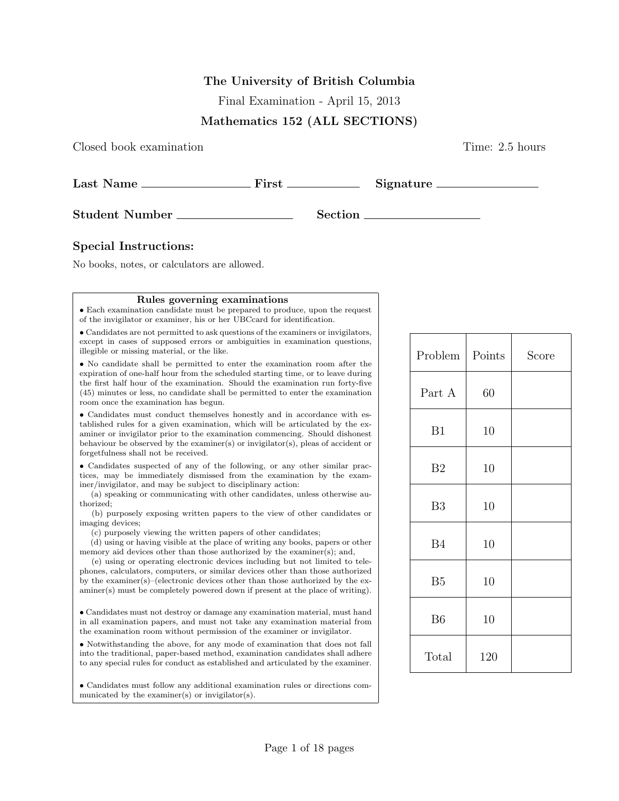## The University of British Columbia

Final Examination - April 15, 2013

## Mathematics 152 (ALL SECTIONS)

Closed book examination Time: 2.5 hours

| Last Name             | First |                | Signature |
|-----------------------|-------|----------------|-----------|
| <b>Student Number</b> |       | <b>Section</b> |           |

## Special Instructions:

No books, notes, or calculators are allowed.

#### Rules governing examinations

• Each examination candidate must be prepared to produce, upon the request of the invigilator or examiner, his or her UBCcard for identification.

• Candidates are not permitted to ask questions of the examiners or invigilators, except in cases of supposed errors or ambiguities in examination questions, illegible or missing material, or the like.

• No candidate shall be permitted to enter the examination room after the expiration of one-half hour from the scheduled starting time, or to leave during the first half hour of the examination. Should the examination run forty-five (45) minutes or less, no candidate shall be permitted to enter the examination room once the examination has begun.

• Candidates must conduct themselves honestly and in accordance with established rules for a given examination, which will be articulated by the examiner or invigilator prior to the examination commencing. Should dishonest behaviour be observed by the examiner(s) or invigilator(s), pleas of accident or forgetfulness shall not be received.

• Candidates suspected of any of the following, or any other similar practices, may be immediately dismissed from the examination by the examiner/invigilator, and may be subject to disciplinary action:

(a) speaking or communicating with other candidates, unless otherwise authorized;

(b) purposely exposing written papers to the view of other candidates or imaging devices;

(c) purposely viewing the written papers of other candidates;

(d) using or having visible at the place of writing any books, papers or other memory aid devices other than those authorized by the examiner(s); and,

(e) using or operating electronic devices including but not limited to telephones, calculators, computers, or similar devices other than those authorized by the examiner(s)–(electronic devices other than those authorized by the examiner(s) must be completely powered down if present at the place of writing).

• Candidates must not destroy or damage any examination material, must hand in all examination papers, and must not take any examination material from the examination room without permission of the examiner or invigilator.

• Notwithstanding the above, for any mode of examination that does not fall into the traditional, paper-based method, examination candidates shall adhere to any special rules for conduct as established and articulated by the examiner.

• Candidates must follow any additional examination rules or directions communicated by the examiner(s) or invigilator(s).

| Problem        | Points | Score |
|----------------|--------|-------|
| Part A         | 60     |       |
| B1             | 10     |       |
| B <sub>2</sub> | 10     |       |
| B <sub>3</sub> | 10     |       |
| <b>B4</b>      | 10     |       |
| B <sub>5</sub> | 10     |       |
| B <sub>6</sub> | 10     |       |
| Total          | 120    |       |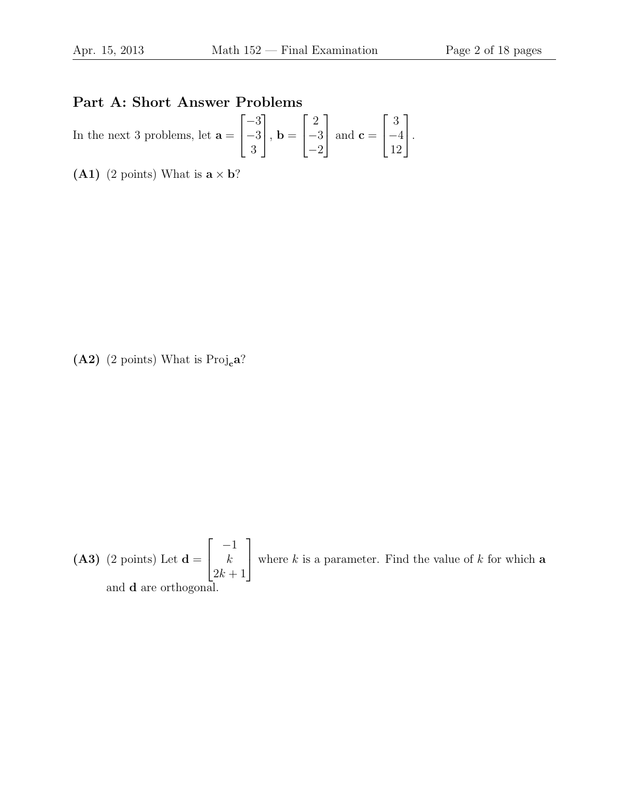# Part A: Short Answer Problems

In the next 3 problems, let  $a =$  $\lceil$  $\overline{1}$ −3 −3 3 1  $\Big\vert$ , **b** =  $\lceil$  $\overline{1}$ 2 −3 −2 1 | and  $\mathbf{c} =$  $\sqrt{ }$  $\overline{\phantom{a}}$ 3 −4 12 1  $\vert \cdot$ 

(A1) (2 points) What is  $\mathbf{a} \times \mathbf{b}$ ?

(A2) (2 points) What is  $\text{Proj}_c a?$ 

**(A3)** (2 points) Let 
$$
\mathbf{d} = \begin{bmatrix} -1 \\ k \\ 2k+1 \end{bmatrix}
$$
 where *k* is a parameter. Find the value of *k* for which **a** and **d** are orthogonal.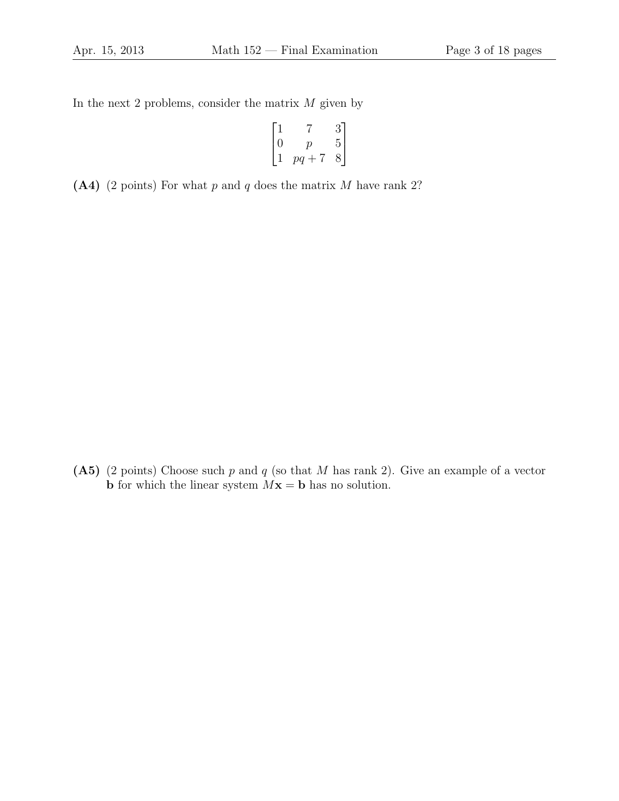In the next 2 problems, consider the matrix  $M$  given by

$$
\begin{bmatrix} 1 & 7 & 3 \ 0 & p & 5 \ 1 & pq+7 & 8 \end{bmatrix}
$$

(A4) (2 points) For what  $p$  and  $q$  does the matrix  $M$  have rank 2?

(A5) (2 points) Choose such  $p$  and  $q$  (so that  $M$  has rank 2). Give an example of a vector **b** for which the linear system  $Mx = b$  has no solution.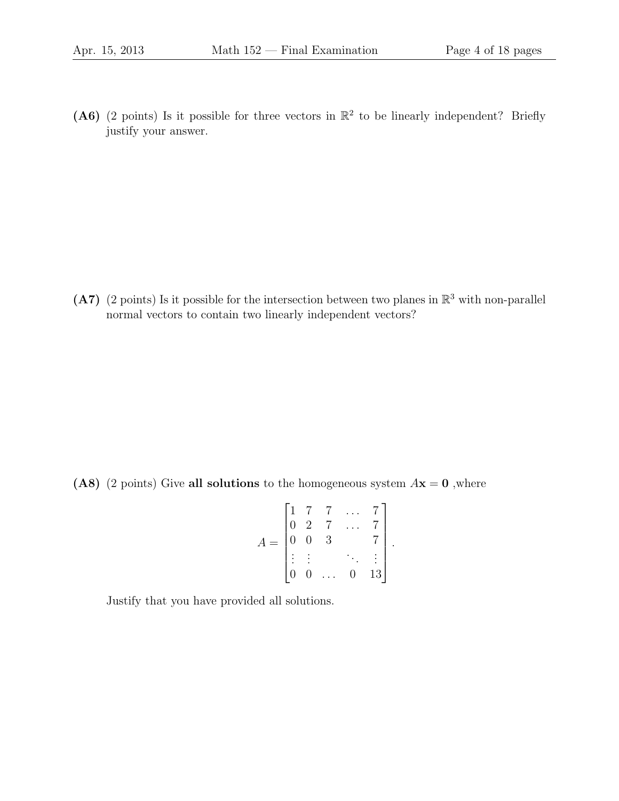(A6) (2 points) Is it possible for three vectors in  $\mathbb{R}^2$  to be linearly independent? Briefly justify your answer.

(A7) (2 points) Is it possible for the intersection between two planes in  $\mathbb{R}^3$  with non-parallel normal vectors to contain two linearly independent vectors?

(A8) (2 points) Give all solutions to the homogeneous system  $A\mathbf{x} = \mathbf{0}$ , where

$$
A = \begin{bmatrix} 1 & 7 & 7 & \dots & 7 \\ 0 & 2 & 7 & \dots & 7 \\ 0 & 0 & 3 & & 7 \\ \vdots & \vdots & & \ddots & \vdots \\ 0 & 0 & \dots & 0 & 13 \end{bmatrix}.
$$

Justify that you have provided all solutions.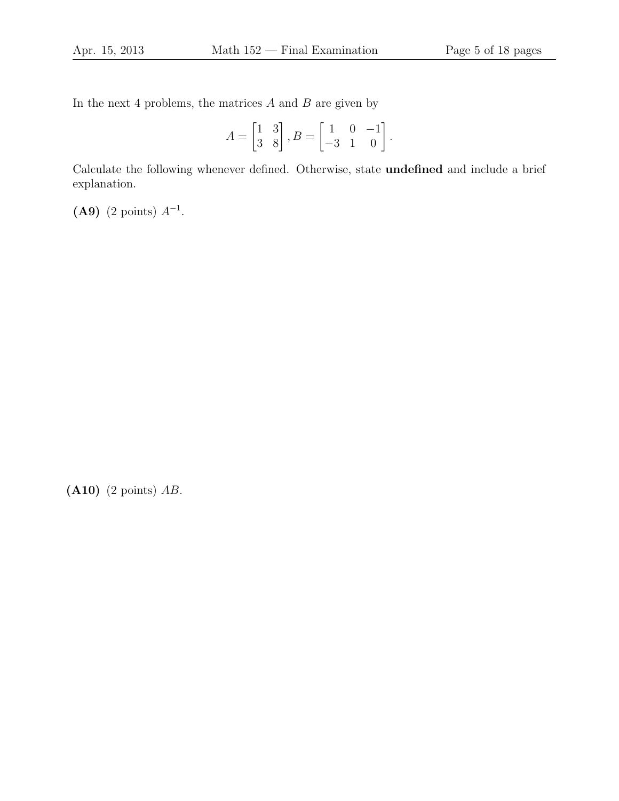In the next 4 problems, the matrices  $A$  and  $B$  are given by

$$
A = \begin{bmatrix} 1 & 3 \\ 3 & 8 \end{bmatrix}, B = \begin{bmatrix} 1 & 0 & -1 \\ -3 & 1 & 0 \end{bmatrix}.
$$

Calculate the following whenever defined. Otherwise, state undefined and include a brief explanation.

(A9) (2 points)  $A^{-1}$ .

(A10) (2 points) AB.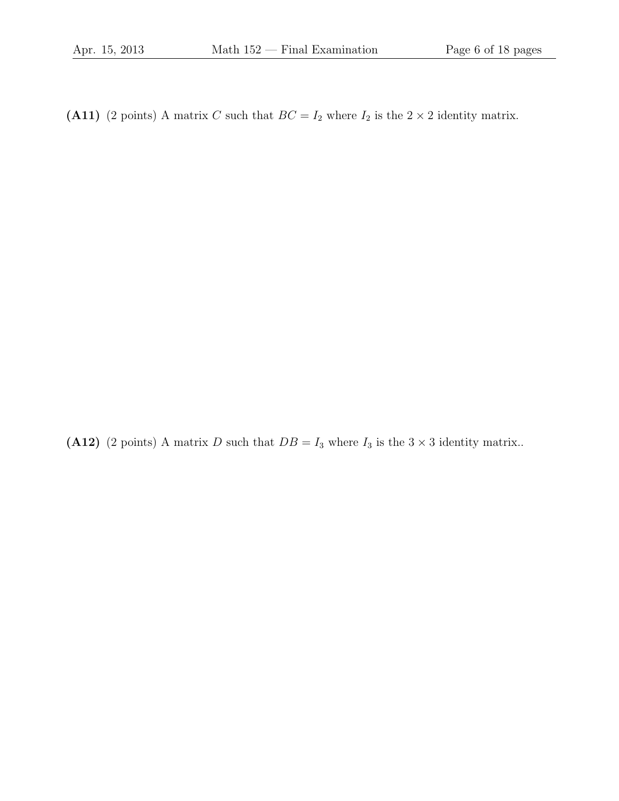(A11) (2 points) A matrix C such that  $BC = I_2$  where  $I_2$  is the  $2 \times 2$  identity matrix.

(A12) (2 points) A matrix D such that  $DB = I_3$  where  $I_3$  is the  $3 \times 3$  identity matrix..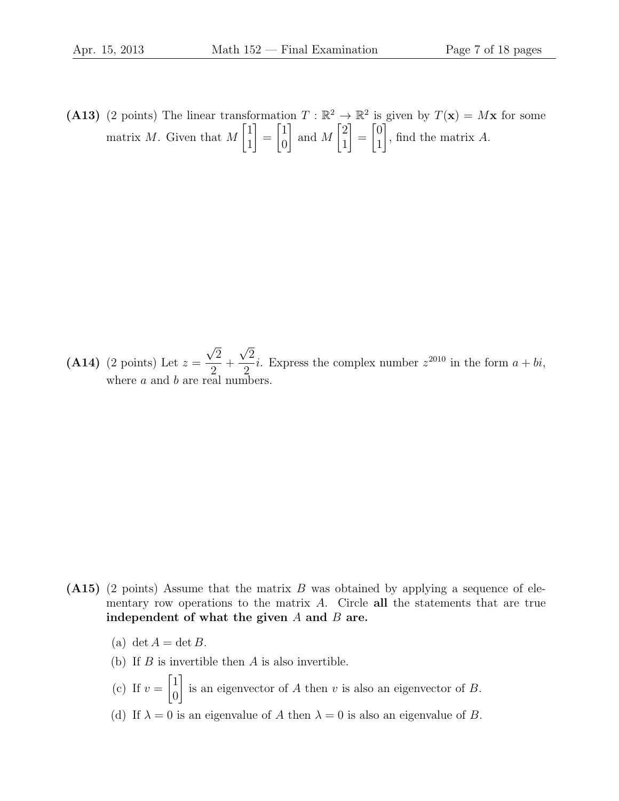(A13) (2 points) The linear transformation  $T : \mathbb{R}^2 \to \mathbb{R}^2$  is given by  $T(\mathbf{x}) = M\mathbf{x}$  for some matrix M. Given that M  $\lceil 1 \rceil$ 1 1 =  $\lceil 1 \rceil$ 0 1 and M  $\lceil 2 \rceil$ 1 1 =  $\lceil 0 \rceil$ 1 1 , find the matrix A.

 $(A14)$  (2 points) Let  $z =$ √ 2 2  $+$ √ 2 2 *i*. Express the complex number  $z^{2010}$  in the form  $a + bi$ , where  $a$  and  $b$  are real numbers.

- (A15) (2 points) Assume that the matrix B was obtained by applying a sequence of elementary row operations to the matrix  $A$ . Circle all the statements that are true independent of what the given  $A$  and  $B$  are.
	- (a) det  $A = \det B$ .
	- (b) If  $B$  is invertible then  $A$  is also invertible.
	- (c) If  $v =$  $\lceil 1 \rceil$  $\overline{0}$ 1 is an eigenvector of  $A$  then  $v$  is also an eigenvector of  $B$ .
	- (d) If  $\lambda = 0$  is an eigenvalue of A then  $\lambda = 0$  is also an eigenvalue of B.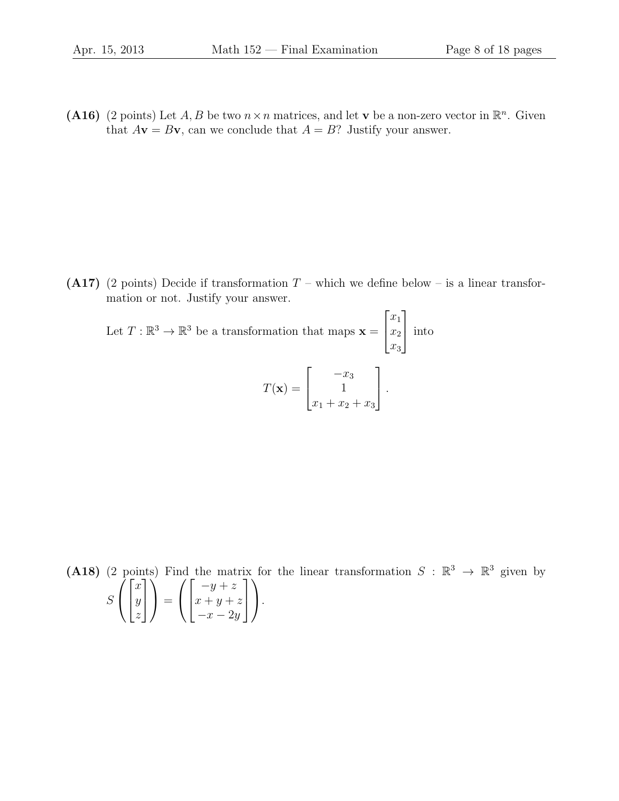(A16) (2 points) Let A, B be two  $n \times n$  matrices, and let v be a non-zero vector in  $\mathbb{R}^n$ . Given that  $A\mathbf{v} = B\mathbf{v}$ , can we conclude that  $A = B$ ? Justify your answer.

(A17) (2 points) Decide if transformation  $T$  – which we define below – is a linear transformation or not. Justify your answer.

Let  $T: \mathbb{R}^3 \to \mathbb{R}^3$  be a transformation that maps  $\mathbf{x} =$  $\sqrt{ }$  $\overline{1}$  $\overline{x_1}$  $\overline{x_2}$  $x_3$ 1 | into  $T(\mathbf{x}) =$  $\lceil$  $\overline{\phantom{a}}$  $-x_3$ 1  $x_1 + x_2 + x_3$ 1  $\vert \cdot$ 

(A18) (2 points) Find the matrix for the linear transformation  $S : \mathbb{R}^3 \to \mathbb{R}^3$  given by S  $\sqrt{ }$  $\overline{1}$  $\lceil$  $\overline{1}$  $\boldsymbol{x}$  $\hat{y}$ z 1  $\overline{1}$  $\setminus$  $\Big\} =$  $\sqrt{ }$  $\overline{1}$  $\lceil$  $\overline{1}$  $-y+z$  $x + y + z$  $-x-2y$ 1  $\overline{1}$  $\setminus$  $\cdot$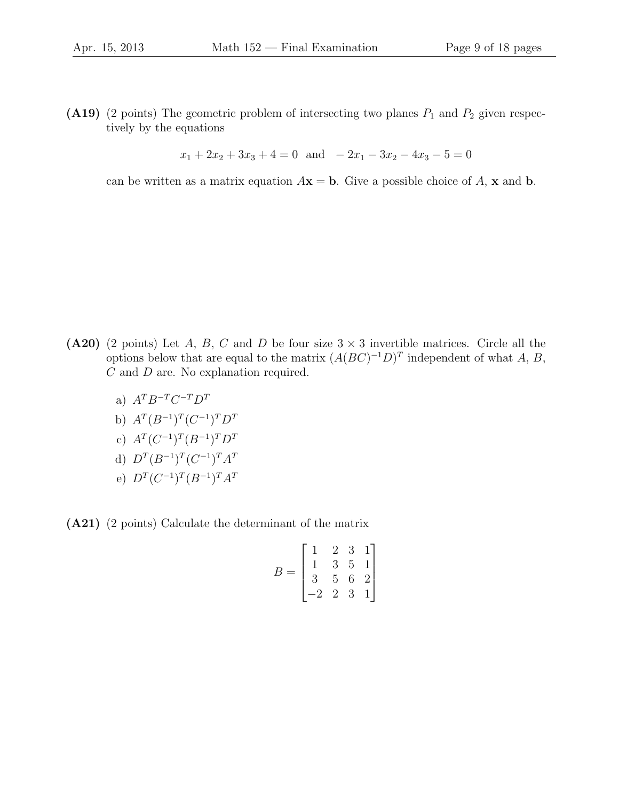(A19) (2 points) The geometric problem of intersecting two planes  $P_1$  and  $P_2$  given respectively by the equations

$$
x_1 + 2x_2 + 3x_3 + 4 = 0
$$
 and  $-2x_1 - 3x_2 - 4x_3 - 5 = 0$ 

can be written as a matrix equation  $A\mathbf{x} = \mathbf{b}$ . Give a possible choice of A, x and b.

- (A20) (2 points) Let A, B, C and D be four size  $3 \times 3$  invertible matrices. Circle all the options below that are equal to the matrix  $(A(BC)^{-1}D)^T$  independent of what A, B, C and D are. No explanation required.
	- a)  $A^T B^{-T} C^{-T} D^T$
	- b)  $A^T (B^{-1})^T (C^{-1})^T D^T$
	- c)  $A^T (C^{-1})^T (B^{-1})^T D^T$
	- d)  $D^T (B^{-1})^T (C^{-1})^T A^T$
	- e)  $D^T(C^{-1})^T(B^{-1})^T A^T$
- (A21) (2 points) Calculate the determinant of the matrix

$$
B = \begin{bmatrix} 1 & 2 & 3 & 1 \\ 1 & 3 & 5 & 1 \\ 3 & 5 & 6 & 2 \\ -2 & 2 & 3 & 1 \end{bmatrix}
$$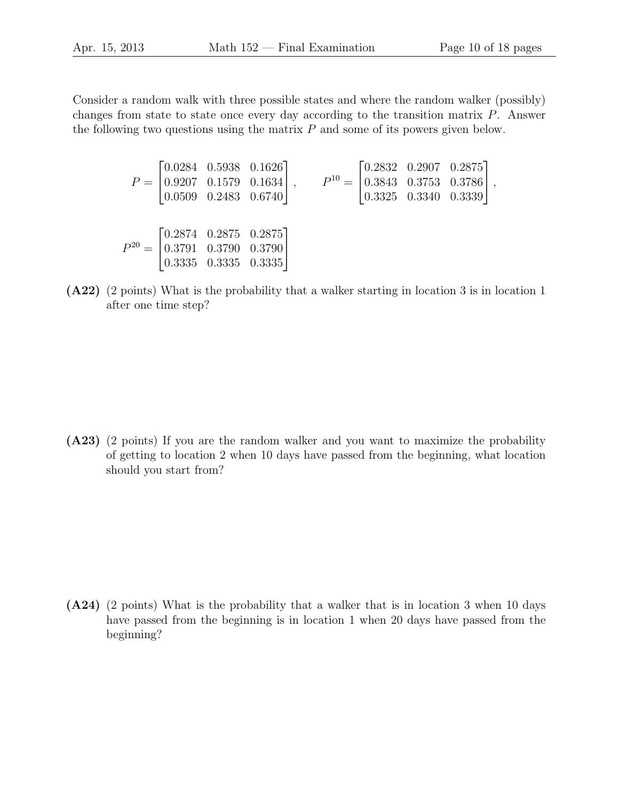Consider a random walk with three possible states and where the random walker (possibly) changes from state to state once every day according to the transition matrix P. Answer the following two questions using the matrix  $P$  and some of its powers given below.

$$
P = \begin{bmatrix} 0.0284 & 0.5938 & 0.1626 \\ 0.9207 & 0.1579 & 0.1634 \\ 0.0509 & 0.2483 & 0.6740 \end{bmatrix}, \qquad P^{10} = \begin{bmatrix} 0.2832 & 0.2907 & 0.2875 \\ 0.3843 & 0.3753 & 0.3786 \\ 0.3325 & 0.3340 & 0.3339 \end{bmatrix},
$$
  

$$
P^{20} = \begin{bmatrix} 0.2874 & 0.2875 & 0.2875 \\ 0.3791 & 0.3790 & 0.3790 \\ 0.3335 & 0.3335 & 0.3335 \end{bmatrix}
$$

(A22) (2 points) What is the probability that a walker starting in location 3 is in location 1 after one time step?

(A23) (2 points) If you are the random walker and you want to maximize the probability of getting to location 2 when 10 days have passed from the beginning, what location should you start from?

(A24) (2 points) What is the probability that a walker that is in location 3 when 10 days have passed from the beginning is in location 1 when 20 days have passed from the beginning?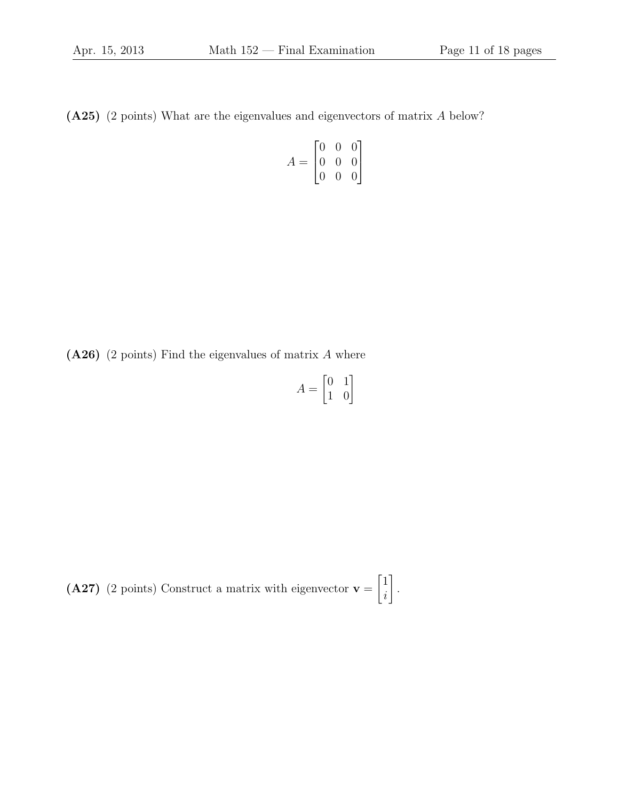(A25) (2 points) What are the eigenvalues and eigenvectors of matrix A below?

$$
A = \begin{bmatrix} 0 & 0 & 0 \\ 0 & 0 & 0 \\ 0 & 0 & 0 \end{bmatrix}
$$

 $(A26)$  (2 points) Find the eigenvalues of matrix A where

$$
A = \begin{bmatrix} 0 & 1 \\ 1 & 0 \end{bmatrix}
$$

 $(A27)$  (2 points) Construct a matrix with eigenvector  $v =$  $\lceil 1 \rceil$ i 1 .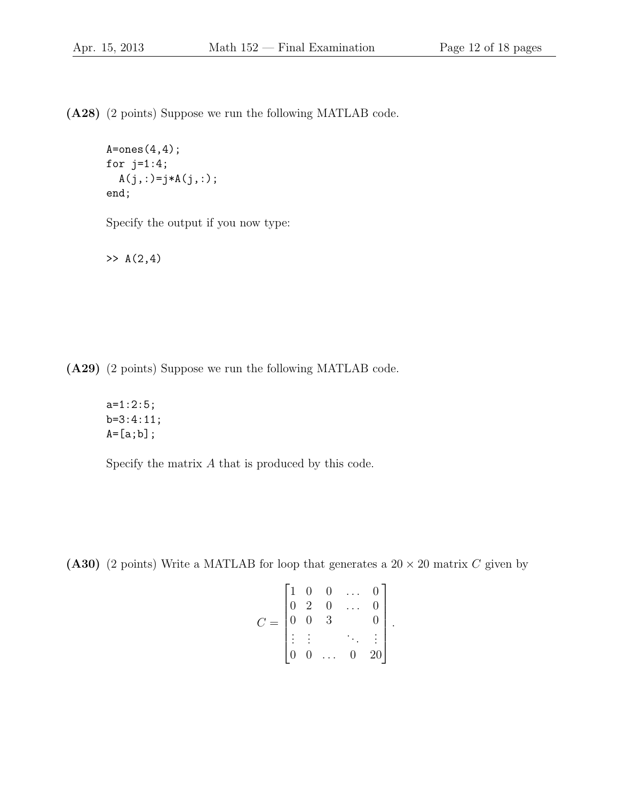(A28) (2 points) Suppose we run the following MATLAB code.

```
A = ones(4,4);for j=1:4;
  A(j,:) = j*A(j,:);
end;
```
Specify the output if you now type:

 $>> A(2, 4)$ 

(A29) (2 points) Suppose we run the following MATLAB code.

a=1:2:5; b=3:4:11;  $A=[a;b]$ ;

Specify the matrix A that is produced by this code.

(A30) (2 points) Write a MATLAB for loop that generates a  $20 \times 20$  matrix C given by

$$
C = \begin{bmatrix} 1 & 0 & 0 & \dots & 0 \\ 0 & 2 & 0 & \dots & 0 \\ 0 & 0 & 3 & & 0 \\ \vdots & \vdots & & \ddots & \vdots \\ 0 & 0 & \dots & 0 & 20 \end{bmatrix}.
$$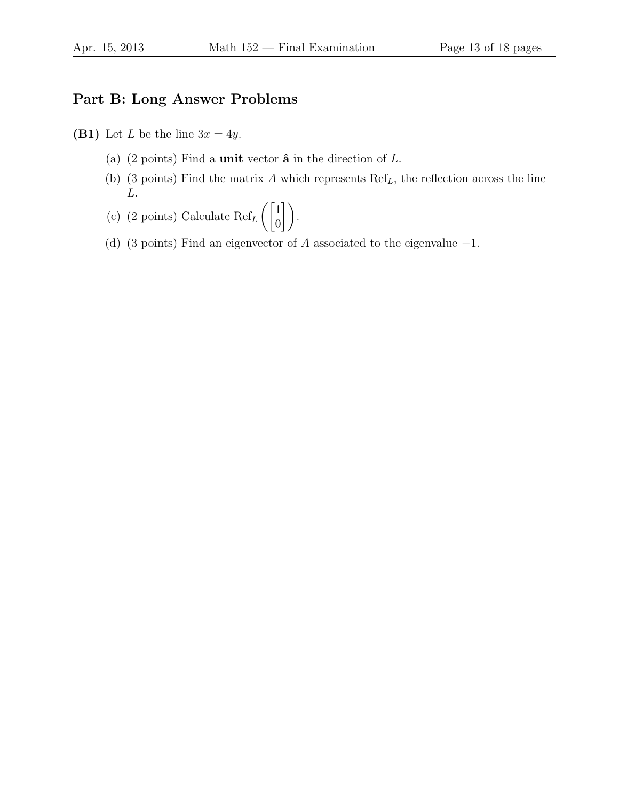## Part B: Long Answer Problems

- (B1) Let L be the line  $3x = 4y$ .
	- (a) (2 points) Find a **unit** vector  $\hat{\mathbf{a}}$  in the direction of  $L$ .
	- (b) (3 points) Find the matrix  $A$  which represents  $Ref<sub>L</sub>$ , the reflection across the line L.
	- (c) (2 points) Calculate  $\text{Ref}_L$  $\sqrt{1}$  $\begin{pmatrix} 1 \\ 0 \end{pmatrix}$ .
	- (d) (3 points) Find an eigenvector of A associated to the eigenvalue  $-1$ .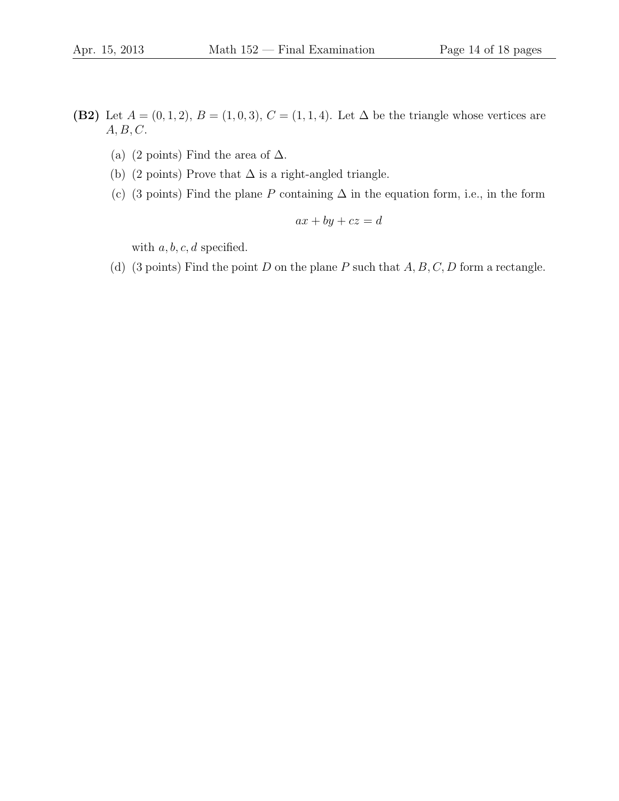- (B2) Let  $A = (0, 1, 2), B = (1, 0, 3), C = (1, 1, 4).$  Let  $\Delta$  be the triangle whose vertices are  $A, B, C$ .
	- (a) (2 points) Find the area of  $\Delta$ .
	- (b) (2 points) Prove that  $\Delta$  is a right-angled triangle.
	- (c) (3 points) Find the plane P containing  $\Delta$  in the equation form, i.e., in the form

$$
ax + by + cz = d
$$

with  $a, b, c, d$  specified.

(d) (3 points) Find the point D on the plane P such that  $A, B, C, D$  form a rectangle.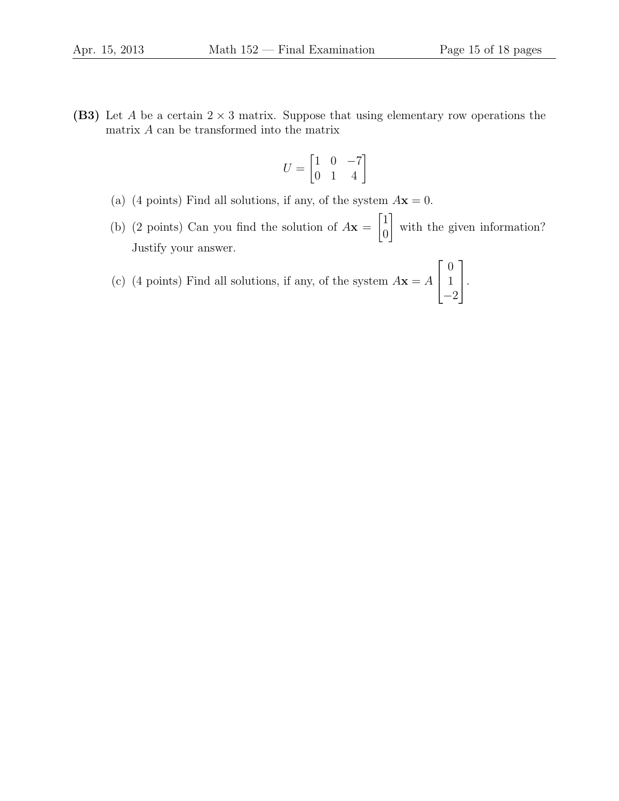(B3) Let A be a certain  $2 \times 3$  matrix. Suppose that using elementary row operations the matrix A can be transformed into the matrix

$$
U = \begin{bmatrix} 1 & 0 & -7 \\ 0 & 1 & 4 \end{bmatrix}
$$

- (a) (4 points) Find all solutions, if any, of the system  $A\mathbf{x} = 0$ .
- (b) (2 points) Can you find the solution of  $A\mathbf{x} =$  $\lceil 1 \rceil$  $\overline{0}$ 1 with the given information? Justify your answer.

(c) (4 points) Find all solutions, if any, of the system  $A\mathbf{x} = A$  $\lceil$  $\overline{\phantom{a}}$ 0 1 −2 1  $\vert \cdot$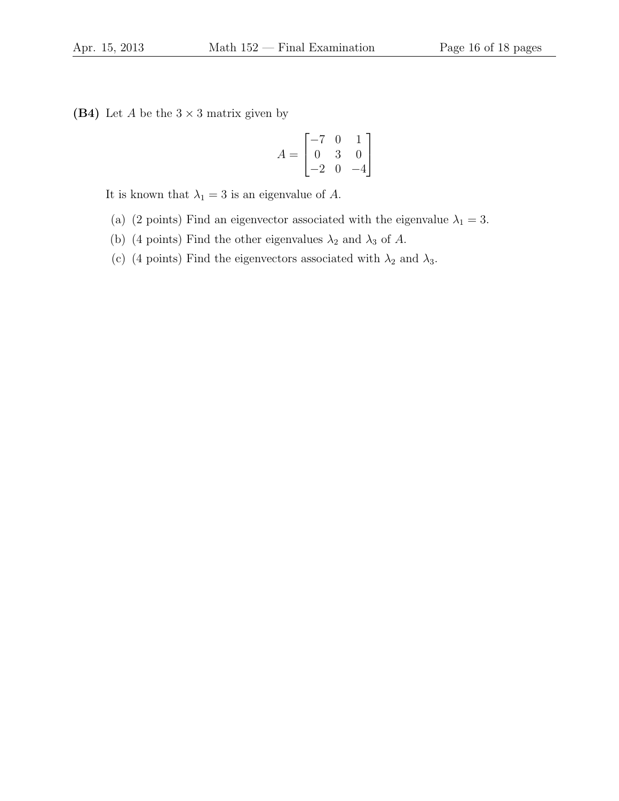(B4) Let  $A$  be the  $3 \times 3$  matrix given by

$$
A = \begin{bmatrix} -7 & 0 & 1 \\ 0 & 3 & 0 \\ -2 & 0 & -4 \end{bmatrix}
$$

It is known that  $\lambda_1 = 3$  is an eigenvalue of A.

- (a) (2 points) Find an eigenvector associated with the eigenvalue  $\lambda_1 = 3$ .
- (b) (4 points) Find the other eigenvalues  $\lambda_2$  and  $\lambda_3$  of A.
- (c) (4 points) Find the eigenvectors associated with  $\lambda_2$  and  $\lambda_3$ .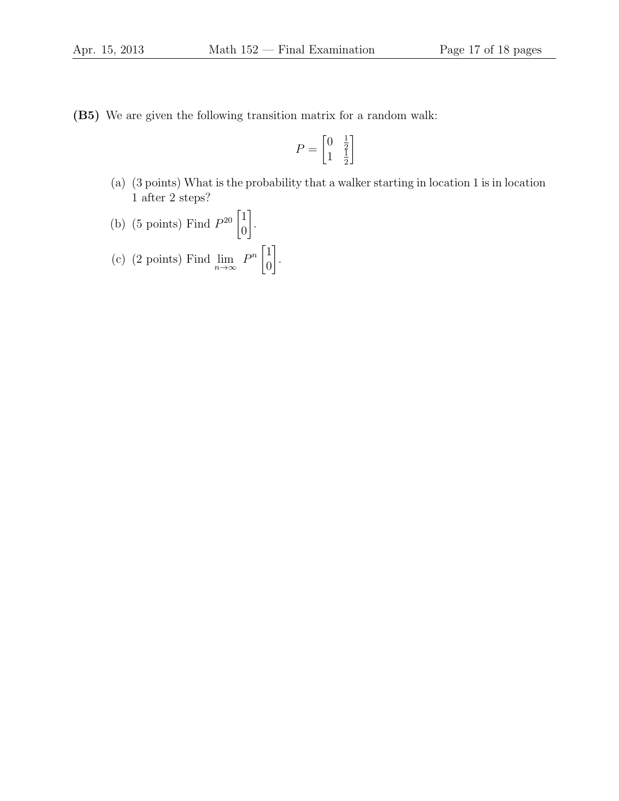(B5) We are given the following transition matrix for a random walk:

$$
P=\begin{bmatrix}0&\frac{1}{2}\\1&\frac{1}{2}\end{bmatrix}
$$

(a) (3 points) What is the probability that a walker starting in location 1 is in location 1 after 2 steps?

(b) (5 points) Find 
$$
P^{20} \begin{bmatrix} 1 \\ 0 \end{bmatrix}
$$
.  
(c) (2 points) Find  $\lim_{n \to \infty} P^n \begin{bmatrix} 1 \\ 0 \end{bmatrix}$ .